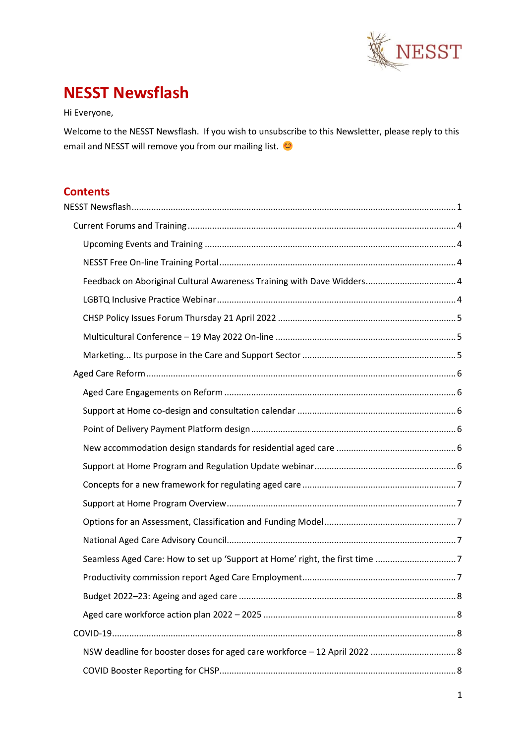

# <span id="page-0-0"></span>**NESST Newsflash**

Hi Everyone,

Welcome to the NESST Newsflash. If you wish to unsubscribe to this Newsletter, please reply to this email and NESST will remove you from our mailing list.

# **Contents**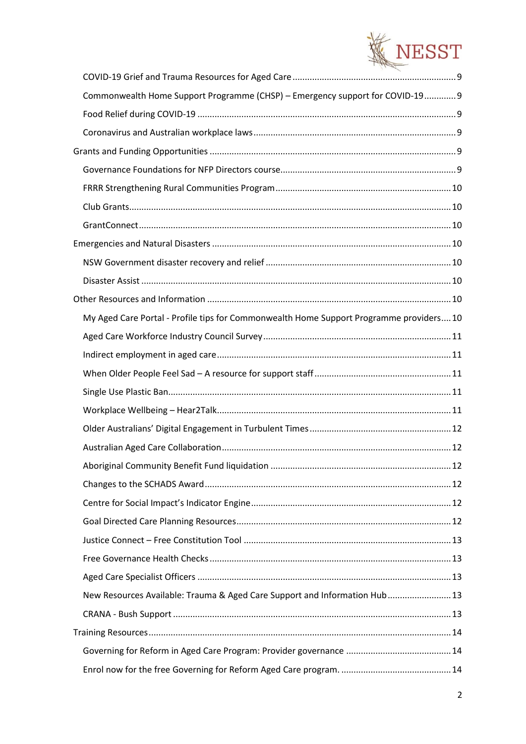

| Commonwealth Home Support Programme (CHSP) - Emergency support for COVID-19 9           |  |
|-----------------------------------------------------------------------------------------|--|
|                                                                                         |  |
|                                                                                         |  |
|                                                                                         |  |
|                                                                                         |  |
|                                                                                         |  |
|                                                                                         |  |
|                                                                                         |  |
|                                                                                         |  |
|                                                                                         |  |
|                                                                                         |  |
|                                                                                         |  |
| My Aged Care Portal - Profile tips for Commonwealth Home Support Programme providers 10 |  |
|                                                                                         |  |
|                                                                                         |  |
|                                                                                         |  |
|                                                                                         |  |
|                                                                                         |  |
|                                                                                         |  |
|                                                                                         |  |
|                                                                                         |  |
|                                                                                         |  |
|                                                                                         |  |
|                                                                                         |  |
|                                                                                         |  |
|                                                                                         |  |
|                                                                                         |  |
| New Resources Available: Trauma & Aged Care Support and Information Hub 13              |  |
|                                                                                         |  |
|                                                                                         |  |
|                                                                                         |  |
|                                                                                         |  |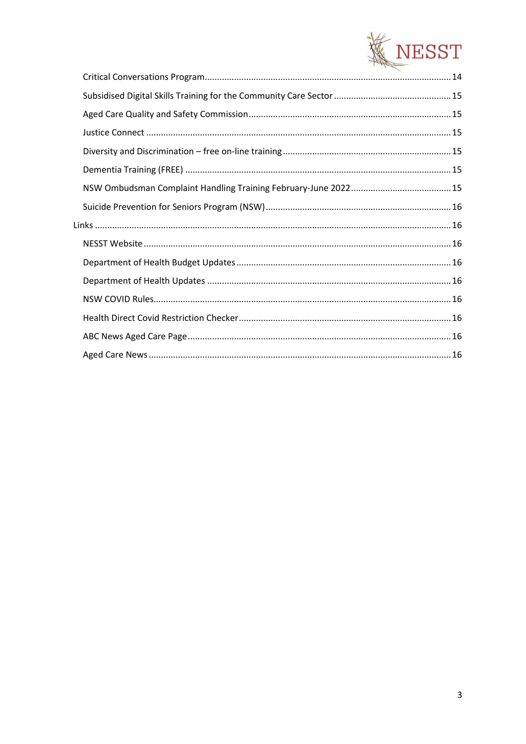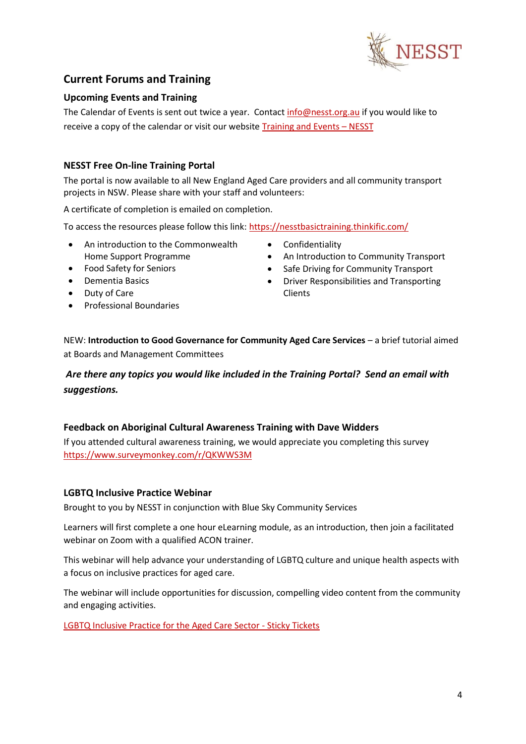

# <span id="page-3-0"></span>**Current Forums and Training**

# <span id="page-3-1"></span>**Upcoming Events and Training**

The Calendar of Events is sent out twice a year. Contact [info@nesst.org.au](mailto:info@nesst.org.au) if you would like to receive a copy of the calendar or visit our websit[e Training and Events](https://www.nesst.org.au/training-and-events/) – NESST

# <span id="page-3-2"></span>**NESST Free On-line Training Portal**

The portal is now available to all New England Aged Care providers and all community transport projects in NSW. Please share with your staff and volunteers:

A certificate of completion is emailed on completion.

To access the resources please follow this link:<https://nesstbasictraining.thinkific.com/>

- An introduction to the Commonwealth Home Support Programme
- Food Safety for Seniors
- Dementia Basics
- Duty of Care
- Professional Boundaries
- Confidentiality
- An Introduction to Community Transport
- Safe Driving for Community Transport
- Driver Responsibilities and Transporting Clients

NEW: **Introduction to Good Governance for Community Aged Care Services** – a brief tutorial aimed at Boards and Management Committees

# *Are there any topics you would like included in the Training Portal? Send an email with suggestions.*

### <span id="page-3-3"></span>**Feedback on Aboriginal Cultural Awareness Training with Dave Widders**

If you attended cultural awareness training, we would appreciate you completing this survey <https://www.surveymonkey.com/r/QKWWS3M>

### <span id="page-3-4"></span>**LGBTQ Inclusive Practice Webinar**

Brought to you by NESST in conjunction with Blue Sky Community Services

Learners will first complete a one hour eLearning module, as an introduction, then join a facilitated webinar on Zoom with a qualified ACON trainer.

This webinar will help advance your understanding of LGBTQ culture and unique health aspects with a focus on inclusive practices for aged care.

The webinar will include opportunities for discussion, compelling video content from the community and engaging activities.

[LGBTQ Inclusive Practice for the Aged Care Sector -](https://www.stickytickets.com.au/6awj7/lgbtq_inclusive_practice_for_the_aged_care_sector.aspx) Sticky Tickets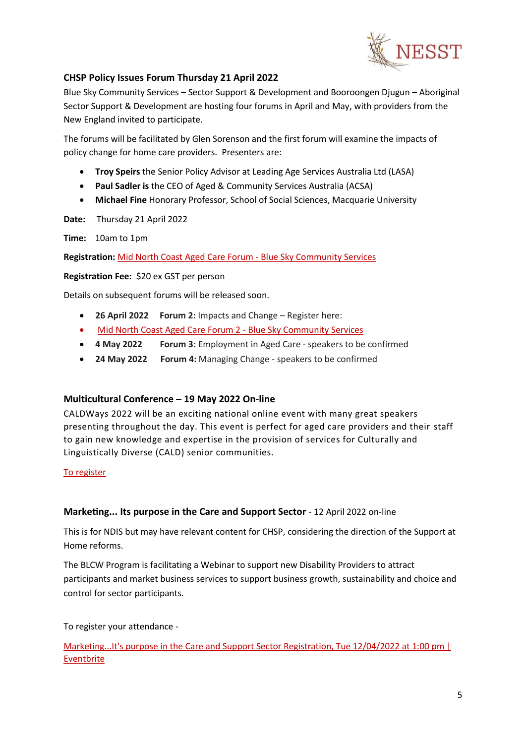

# <span id="page-4-0"></span>**CHSP Policy Issues Forum Thursday 21 April 2022**

Blue Sky Community Services – Sector Support & Development and Booroongen Djugun – Aboriginal Sector Support & Development are hosting four forums in April and May, with providers from the New England invited to participate.

The forums will be facilitated by Glen Sorenson and the first forum will examine the impacts of policy change for home care providers. Presenters are:

- **Troy Speirs** the Senior Policy Advisor at Leading Age Services Australia Ltd (LASA)
- **Paul Sadler is** the CEO of Aged & Community Services Australia (ACSA)
- **Michael Fine** Honorary Professor, School of Social Sciences, Macquarie University

**Date:** Thursday 21 April 2022

**Time:** 10am to 1pm

**Registration:** [Mid North Coast Aged Care Forum -](https://bluesky.org.au/events/mid-north-coast-aged-care-forum/) Blue Sky Community Services

**Registration Fee:** \$20 ex GST per person

Details on subsequent forums will be released soon.

- **26 April 2022 Forum 2:** Impacts and Change Register here:
- [Mid North Coast Aged Care Forum 2 -](https://bluesky.org.au/events/mid-north-coast-aged-care-forum-2/) Blue Sky Community Services
- **4 May 2022 Forum 3:** Employment in Aged Care speakers to be confirmed
- **24 May 2022 Forum 4:** Managing Change speakers to be confirmed

### <span id="page-4-1"></span>**Multicultural Conference – 19 May 2022 On-line**

CALDWays 2022 will be an exciting national online event with many great speakers presenting throughout the day. This event is perfect for aged care providers and their staff to gain new knowledge and expertise in the provision of services for Culturally and Linguistically Diverse (CALD) senior communities.

### [To](https://www.eventbrite.com.au/e/caldways-2022-online-multicultural-aged-care-conference-tickets-298828643517?aff=ebdsoporgprofile&keep_tld=1) register

### <span id="page-4-2"></span>**Marketing... Its purpose in the Care and Support Sector** - 12 April 2022 on-line

This is for NDIS but may have relevant content for CHSP, considering the direction of the Support at Home reforms.

The BLCW Program is facilitating a Webinar to support new Disability Providers to attract participants and market business services to support business growth, sustainability and choice and control for sector participants.

To register your attendance -

Marketing...It's purpose in the Care and Support Sector Registration, Tue 12/04/2022 at 1:00 pm | [Eventbrite](https://www.eventbrite.com.au/e/marketingits-purpose-in-the-care-and-support-sector-registration-301152444067)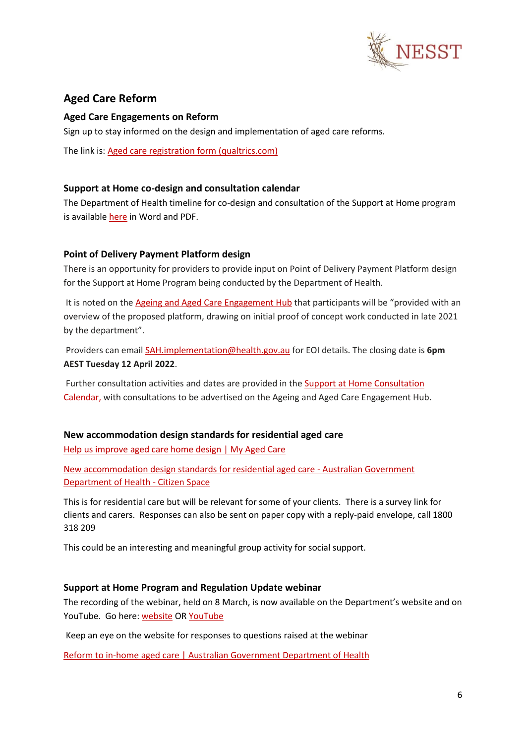

# <span id="page-5-0"></span>**Aged Care Reform**

### <span id="page-5-1"></span>**Aged Care Engagements on Reform**

Sign up to stay informed on the design and implementation of aged care reforms.

The link is[: Aged care registration form \(qualtrics.com\)](https://healthau.au1.qualtrics.com/jfe/form/SV_2tWXoF3uTem0tdc)

### <span id="page-5-2"></span>**Support at Home co-design and consultation calendar**

The Department of Health timeline for co-design and consultation of the Support at Home program is availabl[e here](https://www.health.gov.au/resources/publications/support-at-home-co-design-and-consultation-calendar) in Word and PDF.

# <span id="page-5-3"></span>**Point of Delivery Payment Platform design**

There is an opportunity for providers to provide input on Point of Delivery Payment Platform design for the Support at Home Program being conducted by the Department of Health.

It is noted on the [Ageing and Aged Care Engagement Hub](https://www.agedcareengagement.health.gov.au/get-involved/) that participants will be "provided with an overview of the proposed platform, drawing on initial proof of concept work conducted in late 2021 by the department".

Providers can emai[l SAH.implementation@health.gov.au](mailto:SAH.implementation@health.gov.au) for EOI details. The closing date is **6pm AEST Tuesday 12 April 2022**.

Further consultation activities and dates are provided in th[e Support at Home Consultation](https://www.health.gov.au/sites/default/files/documents/2022/04/support-at-home-consultation-calendar.pdf)  [Calendar,](https://www.health.gov.au/sites/default/files/documents/2022/04/support-at-home-consultation-calendar.pdf) with consultations to be advertised on the Ageing and Aged Care Engagement Hub.

### <span id="page-5-4"></span>**New accommodation design standards for residential aged care**

[Help us improve aged care home design | My Aged Care](https://www.myagedcare.gov.au/news-and-updates/help-us-improve-aged-care-home-design)

[New accommodation design standards for residential aged care -](https://consultations.health.gov.au/ageing-and-aged-care/new-accommodation-design-standards-for-residential/) Australian Government [Department of Health -](https://consultations.health.gov.au/ageing-and-aged-care/new-accommodation-design-standards-for-residential/) Citizen Space

This is for residential care but will be relevant for some of your clients. There is a survey link for clients and carers. Responses can also be sent on paper copy with a reply-paid envelope, call 1800 318 209

This could be an interesting and meaningful group activity for social support.

### <span id="page-5-5"></span>**Support at Home Program and Regulation Update webinar**

The recording of the webinar, held on 8 March, is now available on the Department's website and on YouTube. Go here: [website](https://www.health.gov.au/resources/webinars/support-at-home-program-and-regulation-update-webinar) O[R YouTube](https://www.youtube.com/watch?v=e_lkNWAj1b4)

Keep an eye on the website for responses to questions raised at the webinar

[Reform to in-home aged care | Australian Government Department of Health](https://www.health.gov.au/health-topics/aged-care/aged-care-reforms-and-reviews/reform-to-in-home-aged-care)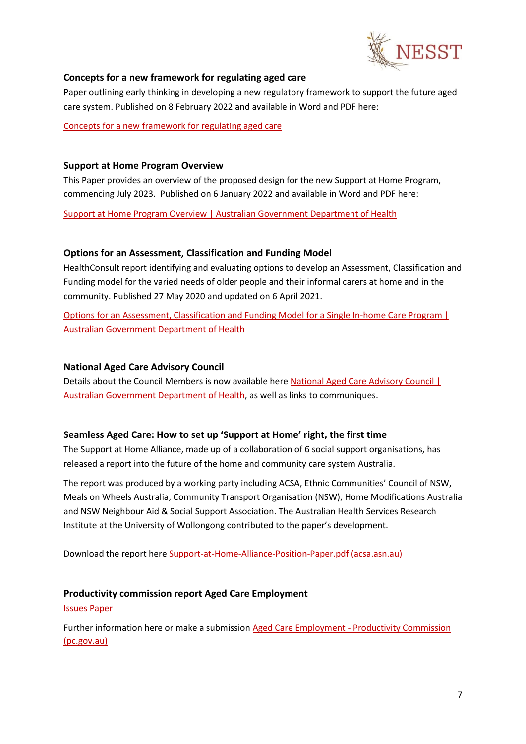

### <span id="page-6-0"></span>**Concepts for a new framework for regulating aged care**

Paper outlining early thinking in developing a new regulatory framework to support the future aged care system. Published on 8 February 2022 and available in Word and PDF here:

[Concepts for a new framework for regulating aged care](https://www.health.gov.au/news/release-of-the-concept-paper-concepts-for-a-new-framework-for-regulating-aged-care)

### <span id="page-6-1"></span>**Support at Home Program Overview**

This Paper provides an overview of the proposed design for the new Support at Home Program, commencing July 2023. Published on 6 January 2022 and available in Word and PDF here:

[Support at Home Program Overview | Australian Government Department of Health](https://www.health.gov.au/resources/publications/support-at-home-program-overview)

### <span id="page-6-2"></span>**Options for an Assessment, Classification and Funding Model**

HealthConsult report identifying and evaluating options to develop an Assessment, Classification and Funding model for the varied needs of older people and their informal carers at home and in the community. Published 27 May 2020 and updated on 6 April 2021.

[Options for an Assessment, Classification and Funding Model for a Single In-home Care Program |](https://www.health.gov.au/resources/publications/options-for-an-assessment-classification-and-funding-model-for-a-single-in-home-care-program)  [Australian Government Department of Health](https://www.health.gov.au/resources/publications/options-for-an-assessment-classification-and-funding-model-for-a-single-in-home-care-program)

### <span id="page-6-3"></span>**National Aged Care Advisory Council**

Details about the Council Members is now available her[e National Aged Care Advisory Council |](https://www.health.gov.au/committees-and-groups/national-aged-care-advisory-council)  [Australian Government Department of Health,](https://www.health.gov.au/committees-and-groups/national-aged-care-advisory-council) as well as links to communiques.

### <span id="page-6-4"></span>**Seamless Aged Care: How to set up 'Support at Home' right, the first time**

The Support at Home Alliance, made up of a collaboration of 6 social support organisations, has released a report into the future of the home and community care system Australia.

The report was produced by a working party including ACSA, Ethnic Communities' Council of NSW, Meals on Wheels Australia, Community Transport Organisation (NSW), Home Modifications Australia and NSW Neighbour Aid & Social Support Association. The Australian Health Services Research Institute at the University of Wollongong contributed to the paper's development.

Download the report here [Support-at-Home-Alliance-Position-Paper.pdf \(acsa.asn.au\)](https://acsa.asn.au/ACSA/media/General/Support-at-Home-Alliance-Position-Paper.pdf)

### <span id="page-6-5"></span>**Productivity commission report Aged Care Employment**

### [Issues](https://www.pc.gov.au/inquiries/current/aged-care-employment/issues/aged-care-issues.pdf) Paper

Further information here or make a submission Aged Care Employment - [Productivity Commission](https://www.pc.gov.au/inquiries/current/aged-care-employment#issues)  [\(pc.gov.au\)](https://www.pc.gov.au/inquiries/current/aged-care-employment#issues)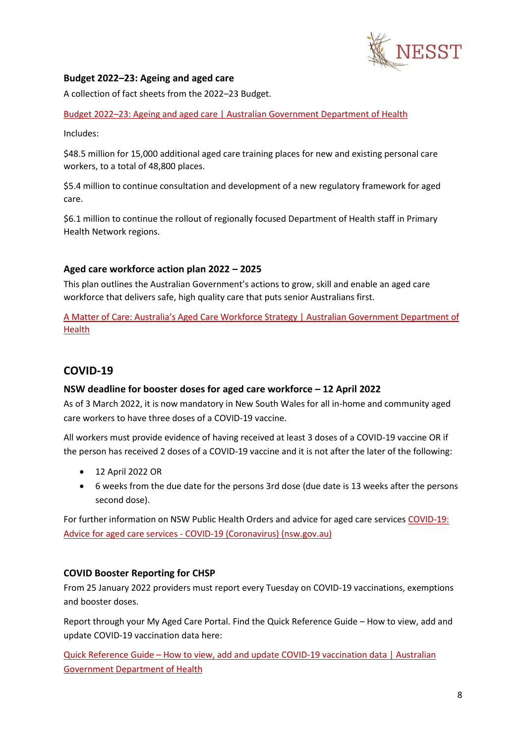

# <span id="page-7-0"></span>**Budget 2022–23: Ageing and aged care**

A collection of fact sheets from the 2022–23 Budget.

Budget 2022–[23: Ageing and aged care | Australian Government Department of Health](https://www.health.gov.au/resources/collections/budget-2022-23-ageing-and-aged-care)

Includes:

\$48.5 million for 15,000 additional aged care training places for new and existing personal care workers, to a total of 48,800 places.

\$5.4 million to continue consultation and development of a new regulatory framework for aged care.

\$6.1 million to continue the rollout of regionally focused Department of Health staff in Primary Health Network regions.

# <span id="page-7-1"></span>**Aged care workforce action plan 2022 – 2025**

This plan outlines the Australian Government's actions to grow, skill and enable an aged care workforce that delivers safe, high quality care that puts senior Australians first.

[A Matter of Care: Australia's Aged Care Workforce Strategy | Australian G](https://www.health.gov.au/resources/publications/a-matter-of-care-australias-aged-care-workforce-strategy)overnment Department of [Health](https://www.health.gov.au/resources/publications/a-matter-of-care-australias-aged-care-workforce-strategy)

# <span id="page-7-2"></span>**COVID-19**

### <span id="page-7-3"></span>**NSW deadline for booster doses for aged care workforce – 12 April 2022**

As of 3 March 2022, it is now mandatory in New South Wales for all in-home and community aged care workers to have three doses of a COVID-19 vaccine.

All workers must provide evidence of having received at least 3 doses of a COVID-19 vaccine OR if the person has received 2 doses of a COVID-19 vaccine and it is not after the later of the following:

- 12 April 2022 OR
- 6 weeks from the due date for the persons 3rd dose (due date is 13 weeks after the persons second dose).

For further information on NSW Public Health Orders and advice for aged care services [COVID-19:](https://www.health.nsw.gov.au/Infectious/covid-19/Pages/aged-care.aspx)  Advice for aged care services - [COVID-19 \(Coronavirus\) \(nsw.gov.au\)](https://www.health.nsw.gov.au/Infectious/covid-19/Pages/aged-care.aspx)

### <span id="page-7-4"></span>**COVID Booster Reporting for CHSP**

From 25 January 2022 providers must report every Tuesday on COVID-19 vaccinations, exemptions and booster doses.

Report through your My Aged Care Portal. Find the Quick Reference Guide – How to view, add and update COVID-19 vaccination data here:

Quick Reference Guide – [How to view, add and update COVID-19 vaccination data | Australian](https://www.health.gov.au/resources/publications/quick-reference-guide-how-to-view-add-and-update-covid-19-vaccination-data)  [Government Department of Health](https://www.health.gov.au/resources/publications/quick-reference-guide-how-to-view-add-and-update-covid-19-vaccination-data)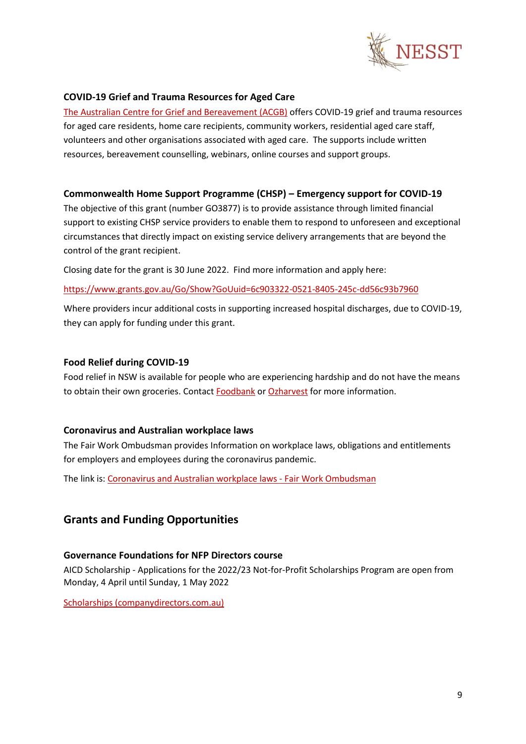

### <span id="page-8-0"></span>**COVID-19 Grief and Trauma Resources for Aged Care**

[The Australian Centre for Grief and Bereavement \(ACGB\)](https://aged.grief.org.au/) offers COVID-19 grief and trauma resources for aged care residents, home care recipients, community workers, residential aged care staff, volunteers and other organisations associated with aged care. The supports include written resources, bereavement counselling, webinars, online courses and support groups.

### <span id="page-8-1"></span>**Commonwealth Home Support Programme (CHSP) – Emergency support for COVID-19**

The objective of this grant (number GO3877) is to provide assistance through limited financial support to existing CHSP service providers to enable them to respond to unforeseen and exceptional circumstances that directly impact on existing service delivery arrangements that are beyond the control of the grant recipient.

Closing date for the grant is 30 June 2022. Find more information and apply here:

<https://www.grants.gov.au/Go/Show?GoUuid=6c903322-0521-8405-245c-dd56c93b7960>

Where providers incur additional costs in supporting increased hospital discharges, due to COVID-19, they can apply for funding under this grant.

# <span id="page-8-2"></span>**Food Relief during COVID-19**

Food relief in NSW is available for people who are experiencing hardship and do not have the means to obtain their own groceries. Contact [Foodbank](https://www.foodbank.org.au/?state=nsw-act) o[r Ozharvest](https://www.ozharvest.org/) for more information.

### <span id="page-8-3"></span>**Coronavirus and Australian workplace laws**

The Fair Work Ombudsman provides Information on workplace laws, obligations and entitlements for employers and employees during the coronavirus pandemic.

The link is[: Coronavirus and Australian workplace laws -](https://coronavirus.fairwork.gov.au/) Fair Work Ombudsman

# <span id="page-8-4"></span>**Grants and Funding Opportunities**

### <span id="page-8-5"></span>**Governance Foundations for NFP Directors course**

AICD Scholarship - Applications for the 2022/23 Not-for-Profit Scholarships Program are open from Monday, 4 April until Sunday, 1 May 2022

[Scholarships \(companydirectors.com.au\)](https://aicd.companydirectors.com.au/education/scholarships)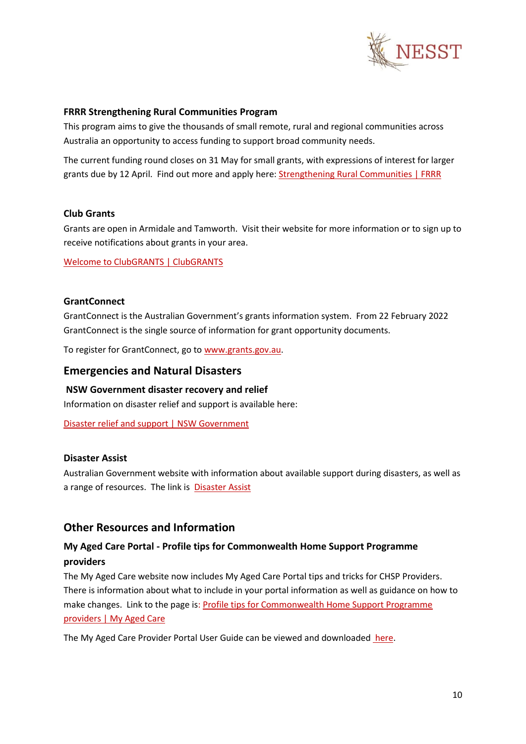

### <span id="page-9-0"></span>**FRRR Strengthening Rural Communities Program**

This program aims to give the thousands of small remote, rural and regional communities across Australia an opportunity to access funding to support broad community needs.

The current funding round closes on 31 May for small grants, with expressions of interest for larger grants due by 12 April. Find out more and apply here[: Strengthening Rural Communities | FRRR](https://frrr.org.au/funding/place/strengthening-rural-communities/)

### <span id="page-9-1"></span>**Club Grants**

Grants are open in Armidale and Tamworth. Visit their website for more information or to sign up to receive notifications about grants in your area.

[Welcome to ClubGRANTS | ClubGRANTS](https://www.clubgrants.com.au/)

### <span id="page-9-2"></span>**GrantConnect**

GrantConnect is the Australian Government's grants information system. From 22 February 2022 GrantConnect is the single source of information for grant opportunity documents.

To register for GrantConnect, go to [www.grants.gov.au.](http://www.grants.gov.au/)

### <span id="page-9-3"></span>**Emergencies and Natural Disasters**

### <span id="page-9-4"></span>**NSW Government disaster recovery and relief**

Information on disaster relief and support is available here:

[Disaster relief and support | NSW Government](https://www.nsw.gov.au/disaster-recovery/disaster-relief-and-support)

### <span id="page-9-5"></span>**Disaster Assist**

Australian Government website with information about available support during disasters, as well as a range of resources. The link is **[Disaster Assist](https://www.disasterassist.gov.au/)** 

### <span id="page-9-6"></span>**Other Resources and Information**

# <span id="page-9-7"></span>**My Aged Care Portal - Profile tips for Commonwealth Home Support Programme providers**

The My Aged Care website now includes My Aged Care Portal tips and tricks for CHSP Providers. There is information about what to include in your portal information as well as guidance on how to make changes. Link to the page is[: Profile tips for Commonwealth Home Support Programme](https://www.myagedcare.gov.au/service-providers/profile-tips-service-providers/profile-tips-commonwealth-home-support-programme-providers)  [providers | My Aged Care](https://www.myagedcare.gov.au/service-providers/profile-tips-service-providers/profile-tips-commonwealth-home-support-programme-providers)

The My Aged Care Provider Portal User Guide can be viewed and downloaded [here.](https://www.health.gov.au/sites/default/files/documents/2020/01/my-aged-care-provider-portal-user-guide-part-1-administrator-functions.pdf)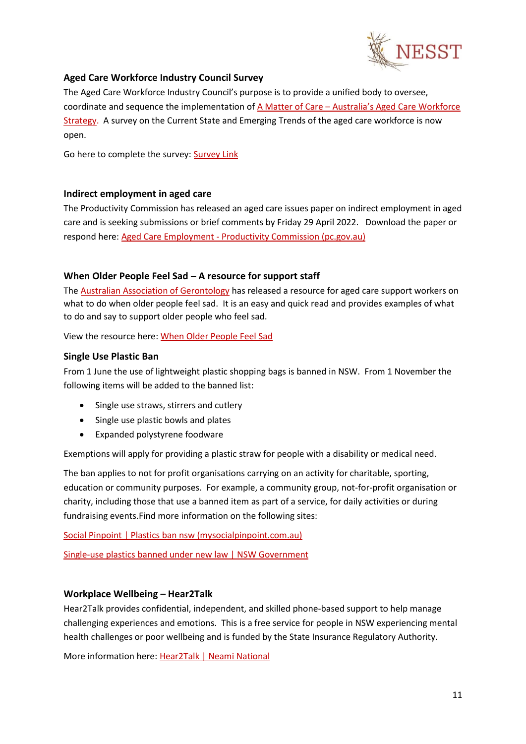

# <span id="page-10-0"></span>**Aged Care Workforce Industry Council Survey**

The Aged Care Workforce Industry Council's purpose is to provide a unified body to oversee, coordinate and sequence the implementation of A Matter of Care – Australia's Aged Care Workforce [Strategy.](https://www.health.gov.au/resources/publications/a-matter-of-care-australias-aged-care-workforce-strategy#:~:text=A%20Matter%20of%20Care%3A%20Australia%E2%80%99s%20Aged%20Care%20Workforce,Care%20Workforce%20Taskforce%20and%20released%20in%20September%202018.) A survey on the Current State and Emerging Trends of the aged care workforce is now open.

Go here to complete the survey: [Survey Link](https://acwic.com.au/?mailpoet_router&endpoint=track&action=click&data=WyIxOTMiLCIxYnB4M242dm5seGM0d2c4dzhrc2N3b2djc2tzMDAwcyIsIjIyIiwiMDJmZDA1YmI5MGZiIixmYWxzZV0)

### <span id="page-10-1"></span>**Indirect employment in aged care**

The Productivity Commission has released an aged care issues paper on indirect employment in aged care and is seeking submissions or brief comments by Friday 29 April 2022. Download the paper or respond here: Aged Care Employment - [Productivity Commission \(pc.gov.au\)](https://www.pc.gov.au/inquiries/current/aged-care-employment#issues)

### <span id="page-10-2"></span>**When Older People Feel Sad – A resource for support staff**

The [Australian Association of Gerontology](https://www.aag.asn.au/) has released a resource for aged care support workers on what to do when older people feel sad. It is an easy and quick read and provides examples of what to do and say to support older people who feel sad.

View the resource here: [When Older People Feel Sad](https://www.aag.asn.au/documents/item/4582)

### <span id="page-10-3"></span>**Single Use Plastic Ban**

From 1 June the use of lightweight plastic shopping bags is banned in NSW. From 1 November the following items will be added to the banned list:

- Single use straws, stirrers and cutlery
- Single use plastic bowls and plates
- Expanded polystyrene foodware

Exemptions will apply for providing a plastic straw for people with a disability or medical need.

The ban applies to not for profit organisations carrying on an activity for charitable, sporting, education or community purposes. For example, a community group, not-for-profit organisation or charity, including those that use a banned item as part of a service, for daily activities or during fundraising events.Find more information on the following sites:

[Social Pinpoint | Plastics ban nsw \(mysocialpinpoint.com.au\)](https://dpe.mysocialpinpoint.com.au/plastics-ban-nsw)

[Single-use plastics banned under new law | NSW Government](https://www.nsw.gov.au/news/single-use-plastics-banned-under-new-law)

### <span id="page-10-4"></span>**Workplace Wellbeing – Hear2Talk**

Hear2Talk provides confidential, independent, and skilled phone-based support to help manage challenging experiences and emotions. This is a free service for people in NSW experiencing mental health challenges or poor wellbeing and is funded by the State Insurance Regulatory Authority.

More information here[: Hear2Talk | Neami National](https://www.neaminational.org.au/find-services/hear2talk/)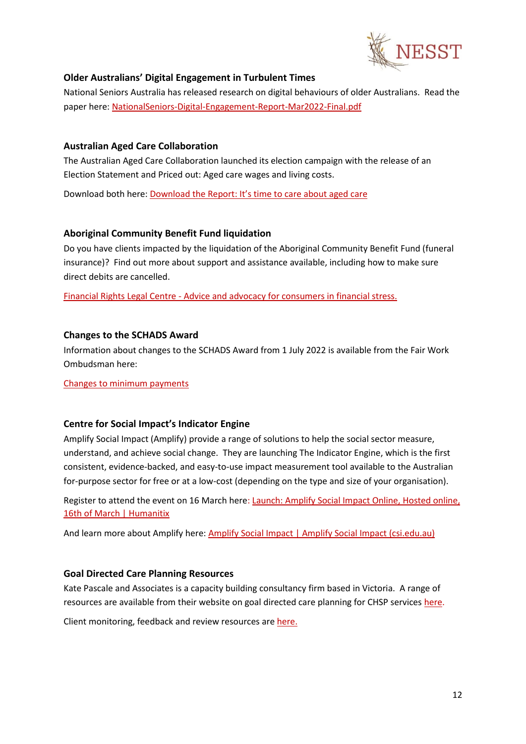

### <span id="page-11-0"></span>**Older Australians' Digital Engagement in Turbulent Times**

National Seniors Australia has released research on digital behaviours of older Australians. Read the paper here: [NationalSeniors-Digital-Engagement-Report-Mar2022-Final.pdf](https://nationalseniors.com.au/uploads/NationalSeniors-Digital-Engagement-Report-Mar2022-Final.pdf)

### <span id="page-11-1"></span>**Australian Aged Care Collaboration**

The Australian Aged Care Collaboration launched its election campaign with the release of an Election Statement and Priced out: Aged care wages and living costs.

Download both here: [Download the Report: It's time to care about aged care](https://www.careaboutagedcare.org.au/report/)

### <span id="page-11-2"></span>**Aboriginal Community Benefit Fund liquidation**

Do you have clients impacted by the liquidation of the Aboriginal Community Benefit Fund (funeral insurance)? Find out more about support and assistance available, including how to make sure direct debits are cancelled.

Financial Rights Legal Centre - [Advice and advocacy for consumers in financial stress.](https://financialrights.org.au/acbf/?fbclid=IwAR3KmBkWKt8N51m3b_SBpQgWmqAwd0JfT92CmuL6nAZ17Lx97DpFG7TtHKY)

# <span id="page-11-3"></span>**Changes to the SCHADS Award**

Information about changes to the SCHADS Award from 1 July 2022 is available from the Fair Work Ombudsman here:

[Changes](https://www.fairwork.gov.au/newsroom/news/changes-minimum-payments-part-time-employees-social-and-community-services-award) to minimum payments

### <span id="page-11-4"></span>**Centre for Social Impact's Indicator Engine**

Amplify Social Impact (Amplify) provide a range of solutions to help the social sector measure, understand, and achieve social change. They are launching The Indicator Engine, which is the first consistent, evidence-backed, and easy-to-use impact measurement tool available to the Australian for-purpose sector for free or at a low-cost (depending on the type and size of your organisation).

Register to attend the event on 16 March here[: Launch: Amplify Social Impact Online,](https://events.humanitix.com/amplify-social-impact-online-launch) Hosted online, [16th of March | Humanitix](https://events.humanitix.com/amplify-social-impact-online-launch)

And learn more about Amplify here: [Amplify Social Impact | Amplify Social Impact \(csi.edu.au\)](https://amplify.csi.edu.au/)

### <span id="page-11-5"></span>**Goal Directed Care Planning Resources**

Kate Pascale and Associates is a capacity building consultancy firm based in Victoria. A range of resources are available from their website on goal directed care planning for CHSP services [here.](https://kpassoc.com.au/resources/gdcp-resources/)

Client monitoring, feedback and review resources ar[e here.](https://kpassoc.com.au/wp-content/uploads/2019/07/Monitoring-Feedback-and-Review-of-service-specific-care-plans_On-Line.pdf)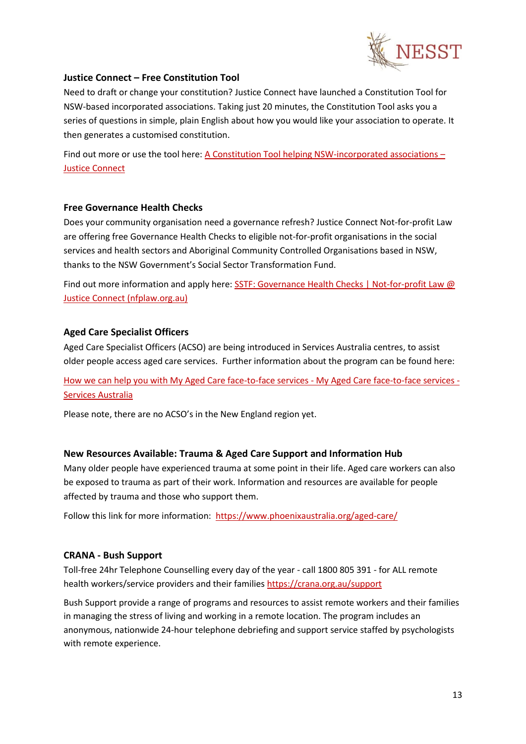

### <span id="page-12-0"></span>**Justice Connect – Free Constitution Tool**

Need to draft or change your constitution? Justice Connect have launched a Constitution Tool for NSW-based incorporated associations. Taking just 20 minutes, the Constitution Tool asks you a series of questions in simple, plain English about how you would like your association to operate. It then generates a customised constitution.

Find out more or use the tool here[: A Constitution Tool helping NSW-incorporated associations](https://justiceconnect.org.au/fairmatters/new-constitution-tool-helping-nsw-incorporated-associations/) – [Justice Connect](https://justiceconnect.org.au/fairmatters/new-constitution-tool-helping-nsw-incorporated-associations/)

### <span id="page-12-1"></span>**Free Governance Health Checks**

Does your community organisation need a governance refresh? Justice Connect Not-for-profit Law are offering free Governance Health Checks to eligible not-for-profit organisations in the social services and health sectors and Aboriginal Community Controlled Organisations based in NSW, thanks to the NSW Government's Social Sector Transformation Fund.

Find out more information and apply here: SSTF: Governance Health Checks | Not-for-profit Law @ [Justice Connect \(nfplaw.org.au\)](https://nfplaw.org.au/sstf-governance-health-checks)

# <span id="page-12-2"></span>**Aged Care Specialist Officers**

Aged Care Specialist Officers (ACSO) are being introduced in Services Australia centres, to assist older people access aged care services. Further information about the program can be found here:

[How we can help you with My Aged Care face-to-face services -](https://www.servicesaustralia.gov.au/how-we-can-help-you-with-my-aged-care-face-to-face-services?context=55715) My Aged Care face-to-face services - [Services Australia](https://www.servicesaustralia.gov.au/how-we-can-help-you-with-my-aged-care-face-to-face-services?context=55715)

Please note, there are no ACSO's in the New England region yet.

### <span id="page-12-3"></span>**New Resources Available: Trauma & Aged Care Support and Information Hub**

Many older people have experienced trauma at some point in their life. Aged care workers can also be exposed to trauma as part of their work. Information and resources are available for people affected by trauma and those who support them.

Follow this link for more information: <https://www.phoenixaustralia.org/aged-care/>

### <span id="page-12-4"></span>**CRANA - Bush Support**

Toll-free 24hr Telephone Counselling every day of the year - call 1800 805 391 - for ALL remote health workers/service providers and their families <https://crana.org.au/support>

Bush Support provide a range of programs and resources to assist remote workers and their families in managing the stress of living and working in a remote location. The program includes an anonymous, nationwide 24-hour telephone debriefing and support service staffed by psychologists with remote experience.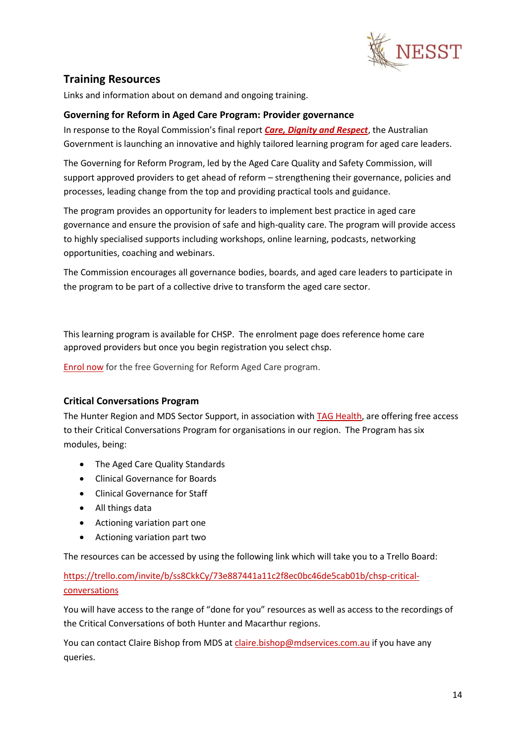

# <span id="page-13-0"></span>**Training Resources**

Links and information about on demand and ongoing training.

# <span id="page-13-1"></span>**Governing for Reform in Aged Care Program: Provider governance**

In response to the Royal Commission's final report *[Care, Dignity and Respect](https://agedcare.royalcommission.gov.au/sites/default/files/2021-03/final-report-volume-1.pdf)*, the Australian Government is launching an innovative and highly tailored learning program for aged care leaders.

The Governing for Reform Program, led by the Aged Care Quality and Safety Commission, will support approved providers to get ahead of reform – strengthening their governance, policies and processes, leading change from the top and providing practical tools and guidance.

The program provides an opportunity for leaders to implement best practice in aged care governance and ensure the provision of safe and high-quality care. The program will provide access to highly specialised supports including workshops, online learning, podcasts, networking opportunities, coaching and webinars.

The Commission encourages all governance bodies, boards, and aged care leaders to participate in the program to be part of a collective drive to transform the aged care sector.

This learning program is available for CHSP. The enrolment page does reference home care approved providers but once you begin registration you select chsp.

<span id="page-13-2"></span>[Enrol now](https://insightssurvey.kpmg.com.au/wix/5/p124442310925.aspx) for the free Governing for Reform Aged Care program.

### <span id="page-13-3"></span>**Critical Conversations Program**

The Hunter Region and MDS Sector Support, in association wit[h TAG Health,](https://www.claire-edwards.com/) are offering free access to their Critical Conversations Program for organisations in our region. The Program has six modules, being:

- The Aged Care Quality Standards
- Clinical Governance for Boards
- Clinical Governance for Staff
- All things data
- Actioning variation part one
- Actioning variation part two

The resources can be accessed by using the following link which will take you to a Trello Board:

# [https://trello.com/invite/b/ss8CkkCy/73e887441a11c2f8ec0bc46de5cab01b/chsp-critical](https://urldefense.proofpoint.com/v2/url?u=https-3A__trello.com_invite_b_ss8CkkCy_73e887441a11c2f8ec0bc46de5cab01b_chsp-2Dcritical-2Dconversations&d=DwMFaQ&c=euGZstcaTDllvimEN8b7jXrwqOf-v5A_CdpgnVfiiMM&r=27gQ-C9wmV4GjuBokqzYhniUMAzlOMg5caVrT-72Vl8&m=BeZRwKixd3M0B87UFQe2FxbR_AtxxvFZEjr8qZBe5t4&s=DQeX1nNNZa1DOJ8vbP7DR6uPCnQToU2OnZrykDbe4Po&e=)[conversations](https://urldefense.proofpoint.com/v2/url?u=https-3A__trello.com_invite_b_ss8CkkCy_73e887441a11c2f8ec0bc46de5cab01b_chsp-2Dcritical-2Dconversations&d=DwMFaQ&c=euGZstcaTDllvimEN8b7jXrwqOf-v5A_CdpgnVfiiMM&r=27gQ-C9wmV4GjuBokqzYhniUMAzlOMg5caVrT-72Vl8&m=BeZRwKixd3M0B87UFQe2FxbR_AtxxvFZEjr8qZBe5t4&s=DQeX1nNNZa1DOJ8vbP7DR6uPCnQToU2OnZrykDbe4Po&e=)

You will have access to the range of "done for you" resources as well as access to the recordings of the Critical Conversations of both Hunter and Macarthur regions.

You can contact Claire Bishop from MDS a[t claire.bishop@mdservices.com.au](mailto:claire.bishop@mdservices.com.au) if you have any queries.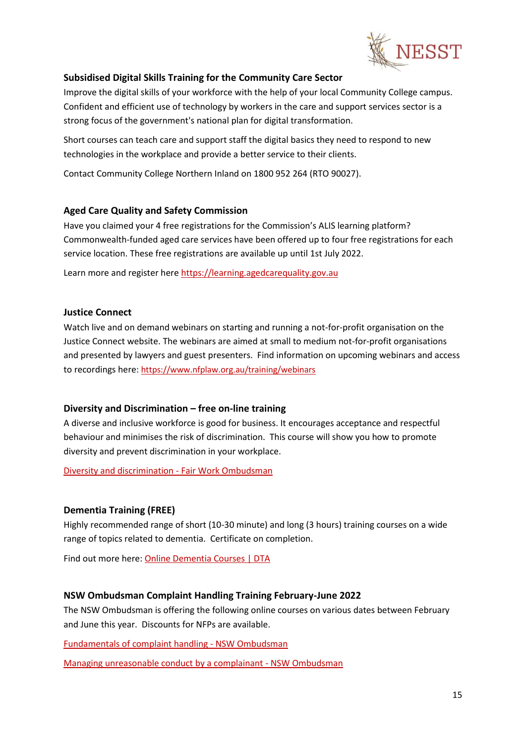

### <span id="page-14-0"></span>**Subsidised Digital Skills Training for the Community Care Sector**

Improve the digital skills of your workforce with the help of your local Community College campus. Confident and efficient use of technology by workers in the care and support services sector is a strong focus of the government's national plan for digital transformation.

Short courses can teach care and support staff the digital basics they need to respond to new technologies in the workplace and provide a better service to their clients.

Contact Community College Northern Inland on 1800 952 264 (RTO 90027).

### <span id="page-14-1"></span>**Aged Care Quality and Safety Commission**

Have you claimed your 4 free registrations for the Commission's ALIS learning platform? Commonwealth-funded aged care services have been offered up to four free registrations for each service location. These free registrations are available up until 1st July 2022.

Learn more and register here [https://learning.agedcarequality.gov.au](https://learning.agedcarequality.gov.au/)

### <span id="page-14-2"></span>**Justice Connect**

Watch live and on demand webinars on starting and running a not-for-profit organisation on the Justice Connect website. The webinars are aimed at small to medium not-for-profit organisations and presented by lawyers and guest presenters. Find information on upcoming webinars and access to recordings here: <https://www.nfplaw.org.au/training/webinars>

### <span id="page-14-3"></span>**Diversity and Discrimination – free on-line training**

A diverse and inclusive workforce is good for business. It encourages acceptance and respectful behaviour and minimises the risk of discrimination. This course will show you how to promote diversity and prevent discrimination in your workplace.

[Diversity and discrimination -](https://www.fairwork.gov.au/tools-and-resources/online-learning-centre/diversity-and-discrimination) Fair Work Ombudsman

### <span id="page-14-4"></span>**Dementia Training (FREE)**

Highly recommended range of short (10-30 minute) and long (3 hours) training courses on a wide range of topics related to dementia. Certificate on completion.

Find out more here: [Online Dementia Courses | DTA](https://dta.com.au/online-dementia-courses/)

### <span id="page-14-5"></span>**NSW Ombudsman Complaint Handling Training February-June 2022**

The NSW Ombudsman is offering the following online courses on various dates between February and June this year. Discounts for NFPs are available.

[Fundamentals of complaint handling -](https://www.ombo.nsw.gov.au/training-workshops-and-events/our-workshops/complaint-handling-training/FCH) NSW Ombudsman

[Managing unreasonable conduct by a complainant -](https://www.ombo.nsw.gov.au/training-workshops-and-events/our-workshops/complaint-handling-training/managing-unreasonable-conduct-by-complainants) NSW Ombudsman